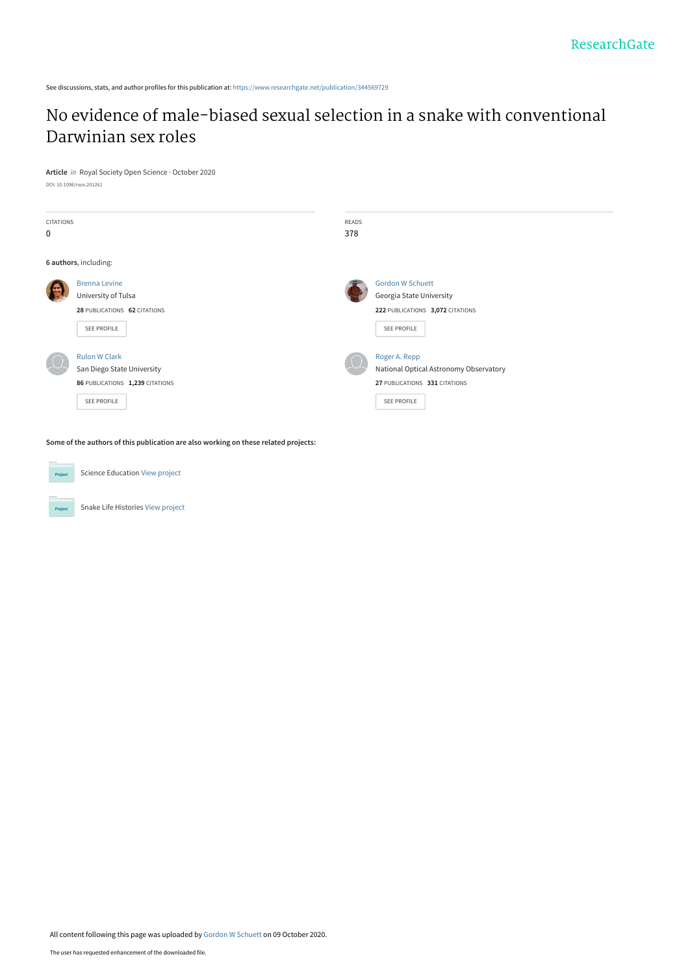See discussions, stats, and author profiles for this publication at: [https://www.researchgate.net/publication/344569729](https://www.researchgate.net/publication/344569729_No_evidence_of_male-biased_sexual_selection_in_a_snake_with_conventional_Darwinian_sex_roles?enrichId=rgreq-0f9c09a0cdeba6f55639cb57312c2519-XXX&enrichSource=Y292ZXJQYWdlOzM0NDU2OTcyOTtBUzo5NDQ3Nzg1NTY0ODE1MzhAMTYwMjI2NDE2OTI3Ng%3D%3D&el=1_x_2&_esc=publicationCoverPdf)

# [No evidence of male-biased sexual selection in a snake with conventional](https://www.researchgate.net/publication/344569729_No_evidence_of_male-biased_sexual_selection_in_a_snake_with_conventional_Darwinian_sex_roles?enrichId=rgreq-0f9c09a0cdeba6f55639cb57312c2519-XXX&enrichSource=Y292ZXJQYWdlOzM0NDU2OTcyOTtBUzo5NDQ3Nzg1NTY0ODE1MzhAMTYwMjI2NDE2OTI3Ng%3D%3D&el=1_x_3&_esc=publicationCoverPdf) Darwinian sex roles

**Article** in Royal Society Open Science · October 2020 DOI: 10.1098/rsos.201261

| <b>CITATIONS</b><br>0 |                                                                                                             | <b>READS</b><br>378 |                                                                                                         |
|-----------------------|-------------------------------------------------------------------------------------------------------------|---------------------|---------------------------------------------------------------------------------------------------------|
| 6 authors, including: |                                                                                                             |                     |                                                                                                         |
|                       | <b>Brenna Levine</b><br>University of Tulsa<br>28 PUBLICATIONS 62 CITATIONS<br>SEE PROFILE                  |                     | <b>Gordon W Schuett</b><br>Georgia State University<br>222 PUBLICATIONS 3,072 CITATIONS<br>SEE PROFILE  |
|                       | <b>Rulon W Clark</b><br>San Diego State University<br>86 PUBLICATIONS 1,239 CITATIONS<br><b>SEE PROFILE</b> |                     | Roger A. Repp<br>National Optical Astronomy Observatory<br>27 PUBLICATIONS 331 CITATIONS<br>SEE PROFILE |

**Some of the authors of this publication are also working on these related projects:**



Project

Snake Life Histories [View project](https://www.researchgate.net/project/Snake-Life-Histories?enrichId=rgreq-0f9c09a0cdeba6f55639cb57312c2519-XXX&enrichSource=Y292ZXJQYWdlOzM0NDU2OTcyOTtBUzo5NDQ3Nzg1NTY0ODE1MzhAMTYwMjI2NDE2OTI3Ng%3D%3D&el=1_x_9&_esc=publicationCoverPdf)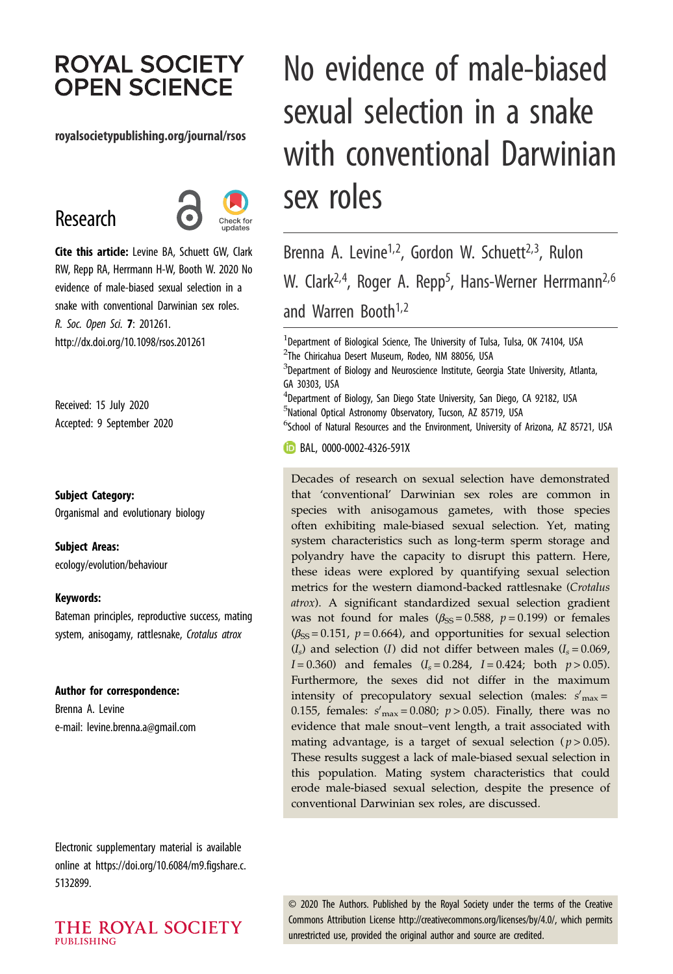# **ROYAL SOCIETY OPEN SCIENCE**

## royalsocietypublishing.org/journal/rsos

# Research



Cite this article: Levine BA, Schuett GW, Clark RW, Repp RA, Herrmann H-W, Booth W. 2020 No evidence of male-biased sexual selection in a snake with conventional Darwinian sex roles. R. Soc. Open Sci. 7: 201261. http://dx.doi.org/10.1098/rsos.201261

Received: 15 July 2020 Accepted: 9 September 2020

Subject Category:

Organismal and evolutionary biology

Subject Areas:

ecology/evolution/behaviour

#### Keywords:

Bateman principles, reproductive success, mating system, anisogamy, rattlesnake, Crotalus atrox

#### Author for correspondence:

Brenna A. Levine e-mail: [levine.brenna.a@gmail.com](mailto:levine.brenna.a@gmail.com)

Electronic supplementary material is available online at [https://doi.org/10.6084/m9.figshare.c.](https://doi.org/10.6084/m9.figshare.c.5132899) [5132899.](https://doi.org/10.6084/m9.figshare.c.5132899)

THE ROYAL SOCIETY **PUBLISHING** 

# No evidence of male-biased sexual selection in a snake with conventional Darwinian sex roles

Brenna A. Levine<sup>1,2</sup>, Gordon W. Schuett<sup>2,3</sup>, Rulon W. Clark<sup>2,4</sup>, Roger A. Repp<sup>5</sup>, Hans-Werner Herrmann<sup>2,6</sup> and Warren Booth<sup>1,2</sup>

<sup>1</sup>Department of Biological Science, The University of Tulsa, Tulsa, OK 74104, USA <sup>2</sup>The Chiricahua Desert Museum, Rodeo, NM 88056, USA

 $^3$ Department of Biology and Neuroscience Institute, Georgia State University, Atlanta, GA 30303, USA

4 Department of Biology, San Diego State University, San Diego, CA 92182, USA <sup>5</sup>National Optical Astronomy Observatory, Tucson, AZ 85719, USA

<sup>6</sup>School of Natural Resources and the Environment, University of Arizona, AZ 85721, USA

**BAL, [0000-0002-4326-591X](http://orcid.org/0000-0002-4326-591X)** 

Decades of research on sexual selection have demonstrated that 'conventional' Darwinian sex roles are common in species with anisogamous gametes, with those species often exhibiting male-biased sexual selection. Yet, mating system characteristics such as long-term sperm storage and polyandry have the capacity to disrupt this pattern. Here, these ideas were explored by quantifying sexual selection metrics for the western diamond-backed rattlesnake (Crotalus atrox). A significant standardized sexual selection gradient was not found for males ( $\beta_{\rm SS} = 0.588$ ,  $p = 0.199$ ) or females  $(\beta_{SS} = 0.151, p = 0.664)$ , and opportunities for sexual selection  $(I<sub>s</sub>)$  and selection (I) did not differ between males  $(I<sub>s</sub> = 0.069)$ ,  $I = 0.360$ ) and females  $(I_s = 0.284, I = 0.424$ ; both  $p > 0.05$ ). Furthermore, the sexes did not differ in the maximum intensity of precopulatory sexual selection (males:  $s'_{\text{max}} =$ 0.155, females:  $s'_{\text{max}} = 0.080; p > 0.05$ ). Finally, there was no evidence that male snout–vent length, a trait associated with mating advantage, is a target of sexual selection ( $p > 0.05$ ). These results suggest a lack of male-biased sexual selection in this population. Mating system characteristics that could erode male-biased sexual selection, despite the presence of conventional Darwinian sex roles, are discussed.

© 2020 The Authors. Published by the Royal Society under the terms of the Creative Commons Attribution License<http://creativecommons.org/licenses/by/4.0/>, which permits unrestricted use, provided the original author and source are credited.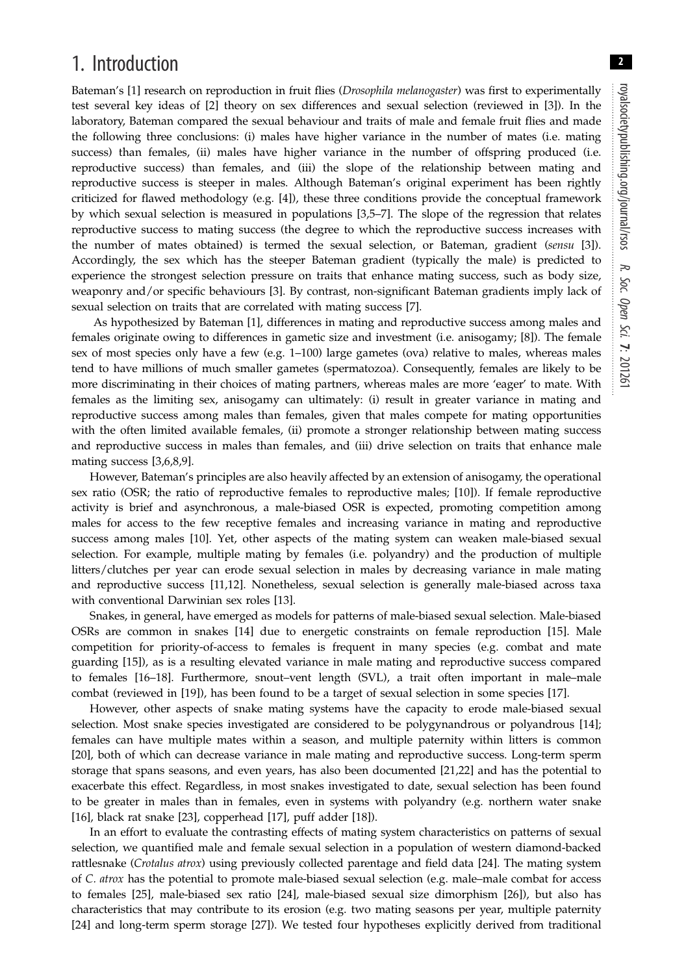# 1. Introduction

Bateman's [[1](#page-9-0)] research on reproduction in fruit flies (*Drosophila melanogaster*) was first to experimentally test several key ideas of [\[2\]](#page-9-0) theory on sex differences and sexual selection (reviewed in [\[3\]](#page-9-0)). In the laboratory, Bateman compared the sexual behaviour and traits of male and female fruit flies and made the following three conclusions: (i) males have higher variance in the number of mates (i.e. mating success) than females, (ii) males have higher variance in the number of offspring produced (i.e. reproductive success) than females, and (iii) the slope of the relationship between mating and reproductive success is steeper in males. Although Bateman's original experiment has been rightly criticized for flawed methodology (e.g. [\[4\]](#page-9-0)), these three conditions provide the conceptual framework by which sexual selection is measured in populations [[3](#page-9-0),[5](#page-9-0)–[7](#page-9-0)]. The slope of the regression that relates reproductive success to mating success (the degree to which the reproductive success increases with the number of mates obtained) is termed the sexual selection, or Bateman, gradient (sensu [[3](#page-9-0)]). Accordingly, the sex which has the steeper Bateman gradient (typically the male) is predicted to experience the strongest selection pressure on traits that enhance mating success, such as body size, weaponry and/or specific behaviours [[3](#page-9-0)]. By contrast, non-significant Bateman gradients imply lack of sexual selection on traits that are correlated with mating success [[7](#page-9-0)].

As hypothesized by Bateman [[1](#page-9-0)], differences in mating and reproductive success among males and females originate owing to differences in gametic size and investment (i.e. anisogamy; [[8](#page-9-0)]). The female sex of most species only have a few (e.g. 1–100) large gametes (ova) relative to males, whereas males tend to have millions of much smaller gametes (spermatozoa). Consequently, females are likely to be more discriminating in their choices of mating partners, whereas males are more 'eager' to mate. With females as the limiting sex, anisogamy can ultimately: (i) result in greater variance in mating and reproductive success among males than females, given that males compete for mating opportunities with the often limited available females, (ii) promote a stronger relationship between mating success and reproductive success in males than females, and (iii) drive selection on traits that enhance male mating success [[3](#page-9-0),[6,8,9\]](#page-9-0).

However, Bateman's principles are also heavily affected by an extension of anisogamy, the operational sex ratio (OSR; the ratio of reproductive females to reproductive males; [[10](#page-9-0)]). If female reproductive activity is brief and asynchronous, a male-biased OSR is expected, promoting competition among males for access to the few receptive females and increasing variance in mating and reproductive success among males [\[10](#page-9-0)]. Yet, other aspects of the mating system can weaken male-biased sexual selection. For example, multiple mating by females (i.e. polyandry) and the production of multiple litters/clutches per year can erode sexual selection in males by decreasing variance in male mating and reproductive success [[11](#page-9-0),[12\]](#page-9-0). Nonetheless, sexual selection is generally male-biased across taxa with conventional Darwinian sex roles [\[13](#page-9-0)].

Snakes, in general, have emerged as models for patterns of male-biased sexual selection. Male-biased OSRs are common in snakes [[14\]](#page-9-0) due to energetic constraints on female reproduction [[15\]](#page-9-0). Male competition for priority-of-access to females is frequent in many species (e.g. combat and mate guarding [\[15](#page-9-0)]), as is a resulting elevated variance in male mating and reproductive success compared to females [\[16](#page-9-0)–[18\]](#page-9-0). Furthermore, snout–vent length (SVL), a trait often important in male–male combat (reviewed in [\[19](#page-9-0)]), has been found to be a target of sexual selection in some species [[17\]](#page-9-0).

However, other aspects of snake mating systems have the capacity to erode male-biased sexual selection. Most snake species investigated are considered to be polygynandrous or polyandrous [\[14](#page-9-0)]; females can have multiple mates within a season, and multiple paternity within litters is common [\[20](#page-9-0)], both of which can decrease variance in male mating and reproductive success. Long-term sperm storage that spans seasons, and even years, has also been documented [\[21](#page-9-0),[22\]](#page-9-0) and has the potential to exacerbate this effect. Regardless, in most snakes investigated to date, sexual selection has been found to be greater in males than in females, even in systems with polyandry (e.g. northern water snake [\[16](#page-9-0)], black rat snake [\[23](#page-9-0)], copperhead [[17\]](#page-9-0), puff adder [\[18](#page-9-0)]).

In an effort to evaluate the contrasting effects of mating system characteristics on patterns of sexual selection, we quantified male and female sexual selection in a population of western diamond-backed rattlesnake (Crotalus atrox) using previously collected parentage and field data [[24\]](#page-9-0). The mating system of C. atrox has the potential to promote male-biased sexual selection (e.g. male–male combat for access to females [\[25](#page-9-0)], male-biased sex ratio [[24](#page-9-0)], male-biased sexual size dimorphism [[26\]](#page-9-0)), but also has characteristics that may contribute to its erosion (e.g. two mating seasons per year, multiple paternity [\[24](#page-9-0)] and long-term sperm storage [[27\]](#page-9-0)). We tested four hypotheses explicitly derived from traditional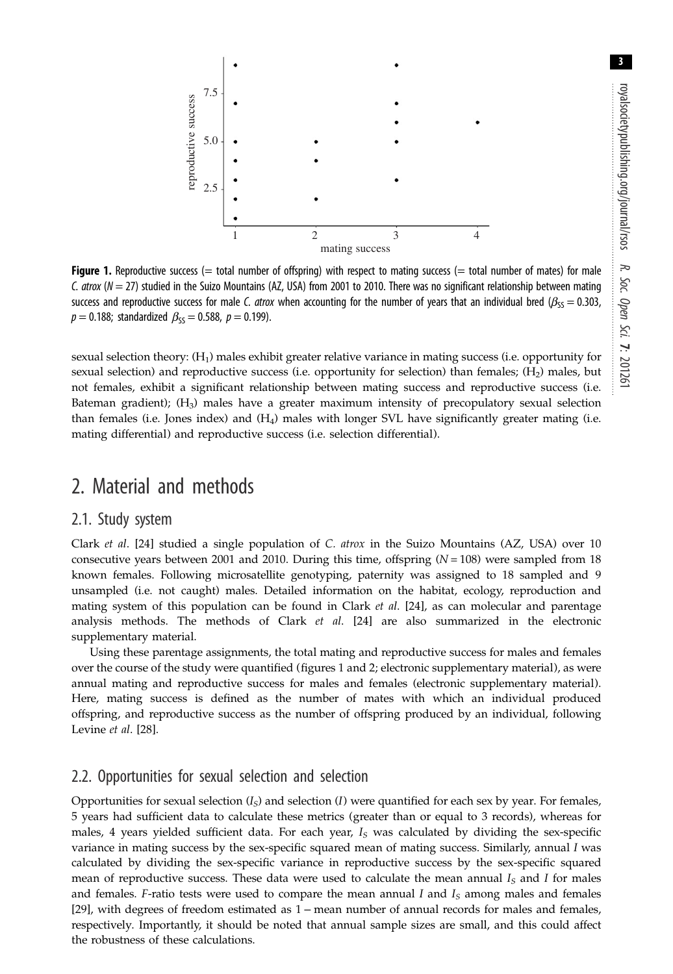

Figure 1. Reproductive success (= total number of offspring) with respect to mating success (= total number of mates) for male C. atrox  $(N = 27)$  studied in the Suizo Mountains (AZ, USA) from 2001 to 2010. There was no significant relationship between mating success and reproductive success for male C. atrox when accounting for the number of years that an individual bred ( $\beta_{SS} = 0.303$ ,  $p = 0.188$ ; standardized  $\beta_{SS} = 0.588$ ,  $p = 0.199$ ).

sexual selection theory: (H<sub>1</sub>) males exhibit greater relative variance in mating success (i.e. opportunity for sexual selection) and reproductive success (i.e. opportunity for selection) than females;  $(H<sub>2</sub>)$  males, but not females, exhibit a significant relationship between mating success and reproductive success (i.e. Bateman gradient);  $(H_3)$  males have a greater maximum intensity of precopulatory sexual selection than females (i.e. Jones index) and  $(H<sub>4</sub>)$  males with longer SVL have significantly greater mating (i.e. mating differential) and reproductive success (i.e. selection differential).

# 2. Material and methods

## 2.1. Study system

Clark et al. [\[24](#page-9-0)] studied a single population of C. atrox in the Suizo Mountains (AZ, USA) over 10 consecutive years between 2001 and 2010. During this time, offspring  $(N = 108)$  were sampled from 18 known females. Following microsatellite genotyping, paternity was assigned to 18 sampled and 9 unsampled (i.e. not caught) males. Detailed information on the habitat, ecology, reproduction and mating system of this population can be found in Clark  $et$  al. [\[24](#page-9-0)], as can molecular and parentage analysis methods. The methods of Clark  $et$  al. [\[24](#page-9-0)] are also summarized in the electronic supplementary material.

Using these parentage assignments, the total mating and reproductive success for males and females over the course of the study were quantified (figures 1 and [2;](#page-4-0) electronic supplementary material), as were annual mating and reproductive success for males and females (electronic supplementary material). Here, mating success is defined as the number of mates with which an individual produced offspring, and reproductive success as the number of offspring produced by an individual, following Levine et al. [[28\]](#page-9-0).

# 2.2. Opportunities for sexual selection and selection

Opportunities for sexual selection  $(I_S)$  and selection  $(I)$  were quantified for each sex by year. For females, 5 years had sufficient data to calculate these metrics (greater than or equal to 3 records), whereas for males, 4 years yielded sufficient data. For each year,  $I<sub>S</sub>$  was calculated by dividing the sex-specific variance in mating success by the sex-specific squared mean of mating success. Similarly, annual I was calculated by dividing the sex-specific variance in reproductive success by the sex-specific squared mean of reproductive success. These data were used to calculate the mean annual  $I<sub>S</sub>$  and I for males and females. F-ratio tests were used to compare the mean annual I and  $I<sub>S</sub>$  among males and females [\[29](#page-9-0)], with degrees of freedom estimated as 1 – mean number of annual records for males and females, respectively. Importantly, it should be noted that annual sample sizes are small, and this could affect the robustness of these calculations.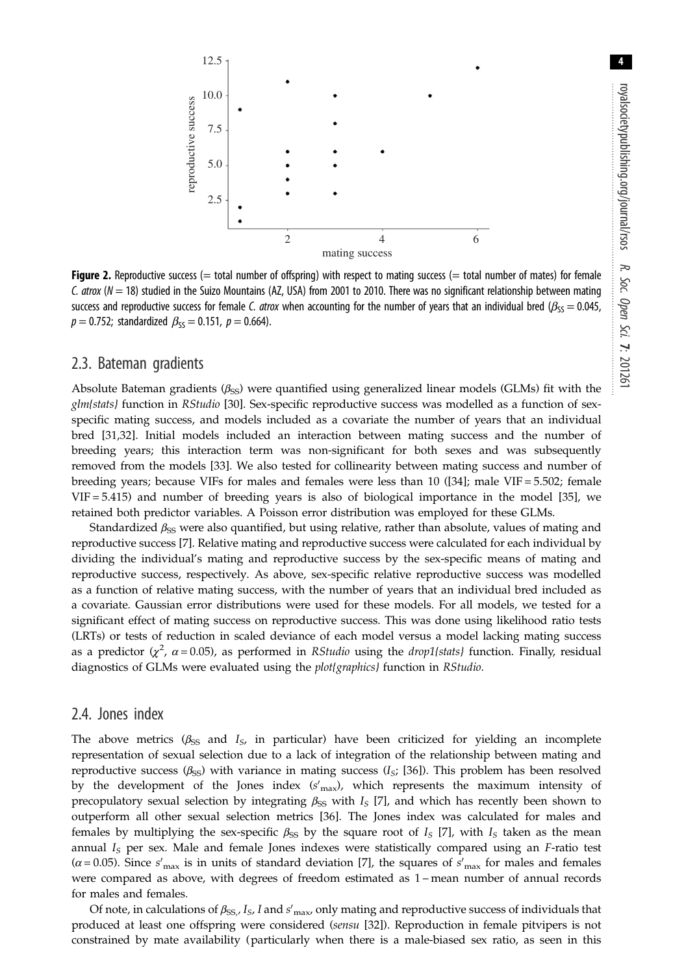<span id="page-4-0"></span>

**Figure 2.** Reproductive success ( $=$  total number of offspring) with respect to mating success ( $=$  total number of mates) for female C. atrox  $(N = 18)$  studied in the Suizo Mountains (AZ, USA) from 2001 to 2010. There was no significant relationship between mating success and reproductive success for female C. atrox when accounting for the number of years that an individual bred ( $\beta_{SS} = 0.045$ ,  $p = 0.752$ ; standardized  $\beta_{SS} = 0.151$ ,  $p = 0.664$ ).

## 2.3. Bateman gradients

Absolute Bateman gradients ( $\beta_{\text{SS}}$ ) were quantified using generalized linear models (GLMs) fit with the glm{stats} function in RStudio [[30\]](#page-9-0). Sex-specific reproductive success was modelled as a function of sexspecific mating success, and models included as a covariate the number of years that an individual bred [[31,32](#page-9-0)]. Initial models included an interaction between mating success and the number of breeding years; this interaction term was non-significant for both sexes and was subsequently removed from the models [\[33](#page-9-0)]. We also tested for collinearity between mating success and number of breeding years; because VIFs for males and females were less than 10 ([\[34](#page-9-0)]; male VIF = 5.502; female VIF = 5.415) and number of breeding years is also of biological importance in the model [\[35](#page-9-0)], we retained both predictor variables. A Poisson error distribution was employed for these GLMs.

Standardized  $\beta_{\rm SS}$  were also quantified, but using relative, rather than absolute, values of mating and reproductive success [[7](#page-9-0)]. Relative mating and reproductive success were calculated for each individual by dividing the individual's mating and reproductive success by the sex-specific means of mating and reproductive success, respectively. As above, sex-specific relative reproductive success was modelled as a function of relative mating success, with the number of years that an individual bred included as a covariate. Gaussian error distributions were used for these models. For all models, we tested for a significant effect of mating success on reproductive success. This was done using likelihood ratio tests (LRTs) or tests of reduction in scaled deviance of each model versus a model lacking mating success as a predictor ( $\chi^2$ ,  $\alpha$  = 0.05), as performed in RStudio using the drop1{stats} function. Finally, residual diagnostics of GLMs were evaluated using the plot{graphics} function in RStudio.

## 2.4. Jones index

The above metrics ( $\beta_{SS}$  and  $I_S$ , in particular) have been criticized for yielding an incomplete representation of sexual selection due to a lack of integration of the relationship between mating and reproductive success ( $\beta_{\text{SS}}$ ) with variance in mating success ( $I_{\text{S}}$ ; [[36\]](#page-9-0)). This problem has been resolved by the development of the Jones index  $(s'_{\text{max}})$ , which represents the maximum intensity of precopulatory sexual selection by integrating  $\beta_{SS}$  with  $I_S$  [[7](#page-9-0)], and which has recently been shown to outperform all other sexual selection metrics [[36\]](#page-9-0). The Jones index was calculated for males and females by multiplying the sex-specific  $\beta_{\rm SS}$  by the square root of  $I_S$  [[7](#page-9-0)], with  $I_S$  taken as the mean annual  $I<sub>S</sub>$  per sex. Male and female Jones indexes were statistically compared using an F-ratio test ( $\alpha$  = 0.05). Since s'<sub>max</sub> is in units of standard deviation [[7](#page-9-0)], the squares of s'<sub>max</sub> for males and females were compared as above, with degrees of freedom estimated as 1 – mean number of annual records for males and females.

Of note, in calculations of  $\beta_{SS}$ ,  $I_S$ , I and  $s'_{\max}$ , only mating and reproductive success of individuals that produced at least one offspring were considered (sensu [[32\]](#page-9-0)). Reproduction in female pitvipers is not constrained by mate availability (particularly when there is a male-biased sex ratio, as seen in this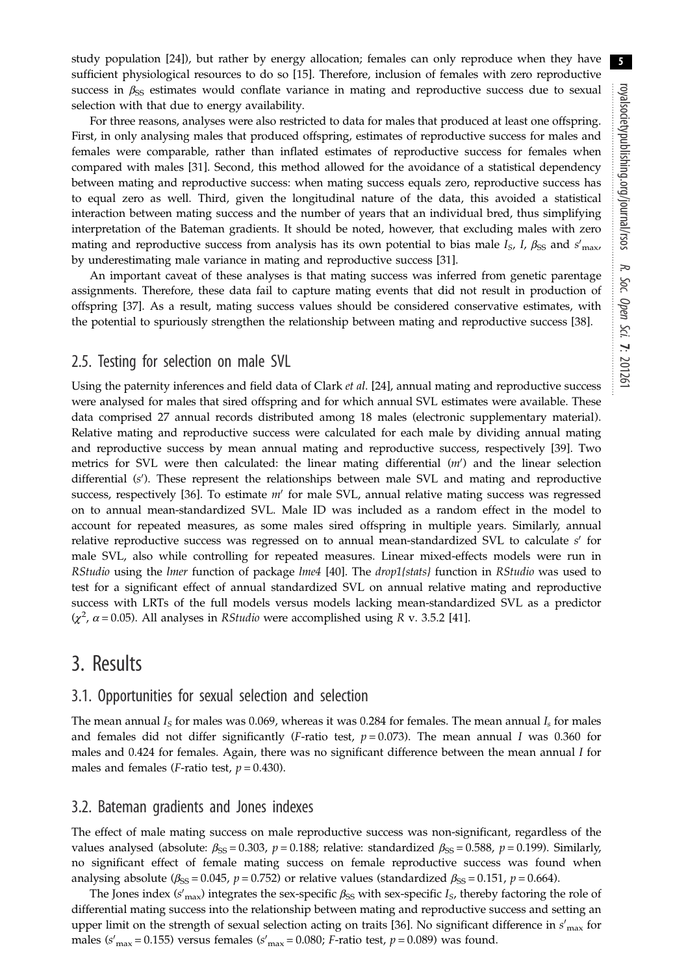study population [\[24](#page-9-0)]), but rather by energy allocation; females can only reproduce when they have sufficient physiological resources to do so [\[15](#page-9-0)]. Therefore, inclusion of females with zero reproductive success in  $\beta_{\rm SS}$  estimates would conflate variance in mating and reproductive success due to sexual selection with that due to energy availability.

For three reasons, analyses were also restricted to data for males that produced at least one offspring. First, in only analysing males that produced offspring, estimates of reproductive success for males and females were comparable, rather than inflated estimates of reproductive success for females when compared with males [[31\]](#page-9-0). Second, this method allowed for the avoidance of a statistical dependency between mating and reproductive success: when mating success equals zero, reproductive success has to equal zero as well. Third, given the longitudinal nature of the data, this avoided a statistical interaction between mating success and the number of years that an individual bred, thus simplifying interpretation of the Bateman gradients. It should be noted, however, that excluding males with zero mating and reproductive success from analysis has its own potential to bias male  $I_s$ , I,  $\beta_{SS}$  and  $s'_{\rm max}$ by underestimating male variance in mating and reproductive success [\[31](#page-9-0)].

An important caveat of these analyses is that mating success was inferred from genetic parentage assignments. Therefore, these data fail to capture mating events that did not result in production of offspring [\[37](#page-9-0)]. As a result, mating success values should be considered conservative estimates, with the potential to spuriously strengthen the relationship between mating and reproductive success [\[38](#page-9-0)].

## 2.5. Testing for selection on male SVL

Using the paternity inferences and field data of Clark et al. [[24\]](#page-9-0), annual mating and reproductive success were analysed for males that sired offspring and for which annual SVL estimates were available. These data comprised 27 annual records distributed among 18 males (electronic supplementary material). Relative mating and reproductive success were calculated for each male by dividing annual mating and reproductive success by mean annual mating and reproductive success, respectively [\[39](#page-9-0)]. Two metrics for SVL were then calculated: the linear mating differential  $(m')$  and the linear selection differential (s'). These represent the relationships between male SVL and mating and reproductive success, respectively [\[36](#page-9-0)]. To estimate  $m'$  for male SVL, annual relative mating success was regressed on to annual mean-standardized SVL. Male ID was included as a random effect in the model to account for repeated measures, as some males sired offspring in multiple years. Similarly, annual relative reproductive success was regressed on to annual mean-standardized SVL to calculate  $s'$  for male SVL, also while controlling for repeated measures. Linear mixed-effects models were run in RStudio using the *lmer* function of package *lme4* [[40\]](#page-9-0). The *drop1*{stats} function in RStudio was used to test for a significant effect of annual standardized SVL on annual relative mating and reproductive success with LRTs of the full models versus models lacking mean-standardized SVL as a predictor  $(\chi^2, \alpha = 0.05)$ . All analyses in *RStudio* were accomplished using *R* v. 3.5.2 [\[41](#page-9-0)].

# 3. Results

## 3.1. Opportunities for sexual selection and selection

The mean annual  $I<sub>S</sub>$  for males was 0.069, whereas it was 0.284 for females. The mean annual  $I<sub>S</sub>$  for males and females did not differ significantly (F-ratio test,  $p = 0.073$ ). The mean annual I was 0.360 for males and 0.424 for females. Again, there was no significant difference between the mean annual  $I$  for males and females (*F*-ratio test,  $p = 0.430$ ).

## 3.2. Bateman gradients and Jones indexes

The effect of male mating success on male reproductive success was non-significant, regardless of the values analysed (absolute:  $\beta_{SS} = 0.303$ ,  $p = 0.188$ ; relative: standardized  $\beta_{SS} = 0.588$ ,  $p = 0.199$ ). Similarly, no significant effect of female mating success on female reproductive success was found when analysing absolute ( $\beta_{SS} = 0.045$ ,  $p = 0.752$ ) or relative values (standardized  $\beta_{SS} = 0.151$ ,  $p = 0.664$ ).

The Jones index (s'<sub>max</sub>) integrates the sex-specific  $\beta_{SS}$  with sex-specific  $I_S$ , thereby factoring the role of differential mating success into the relationship between mating and reproductive success and setting an upper limit on the strength of sexual selection acting on traits [\[36](#page-9-0)]. No significant difference in  $s^\prime_{\rm max}$  for males (s'<sub>max</sub> = 0.155) versus females (s'<sub>max</sub> = 0.080; *F*-ratio test,  $p$  = 0.089) was found.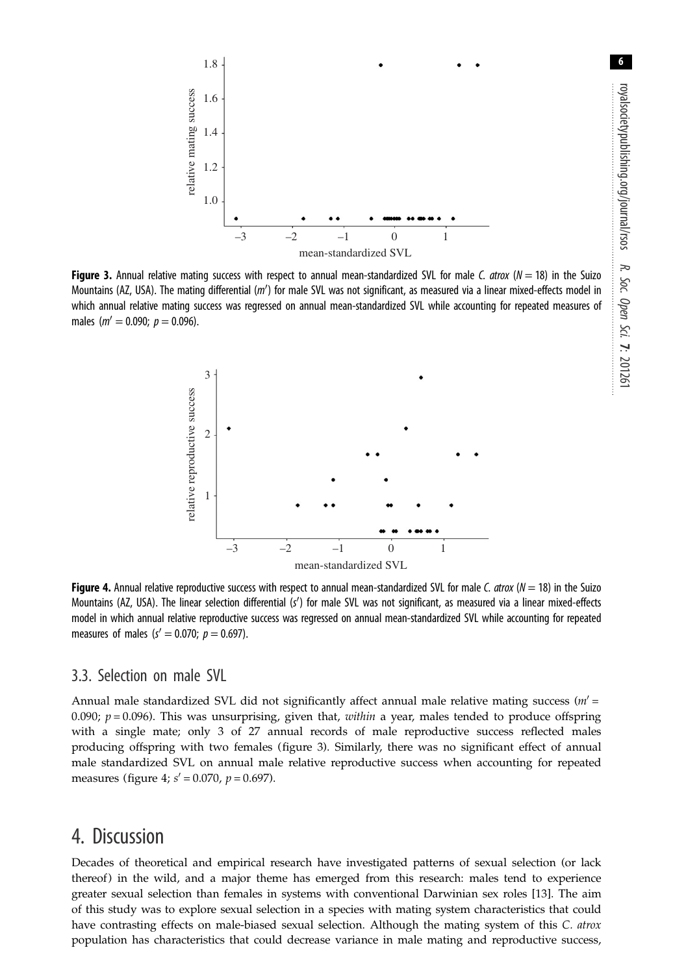

Figure 3. Annual relative mating success with respect to annual mean-standardized SVL for male C. atrox ( $N = 18$ ) in the Suizo Mountains (AZ, USA). The mating differential ( $m'$ ) for male SVL was not significant, as measured via a linear mixed-effects model in which annual relative mating success was regressed on annual mean-standardized SVL while accounting for repeated measures of males ( $m' = 0.090$ ;  $p = 0.096$ ).



**Figure 4.** Annual relative reproductive success with respect to annual mean-standardized SVL for male C. atrox ( $N = 18$ ) in the Suizo Mountains (AZ, USA). The linear selection differential (s') for male SVL was not significant, as measured via a linear mixed-effects model in which annual relative reproductive success was regressed on annual mean-standardized SVL while accounting for repeated measures of males ( $s' = 0.070; p = 0.697$ ).

## 3.3. Selection on male SVL

Annual male standardized SVL did not significantly affect annual male relative mating success  $(m' =$ 0.090;  $p = 0.096$ ). This was unsurprising, given that, within a year, males tended to produce offspring with a single mate; only 3 of 27 annual records of male reproductive success reflected males producing offspring with two females (figure 3). Similarly, there was no significant effect of annual male standardized SVL on annual male relative reproductive success when accounting for repeated measures (figure 4;  $s' = 0.070$ ,  $p = 0.697$ ).

# 4. Discussion

Decades of theoretical and empirical research have investigated patterns of sexual selection (or lack thereof) in the wild, and a major theme has emerged from this research: males tend to experience greater sexual selection than females in systems with conventional Darwinian sex roles [[13\]](#page-9-0). The aim of this study was to explore sexual selection in a species with mating system characteristics that could have contrasting effects on male-biased sexual selection. Although the mating system of this C. atrox population has characteristics that could decrease variance in male mating and reproductive success,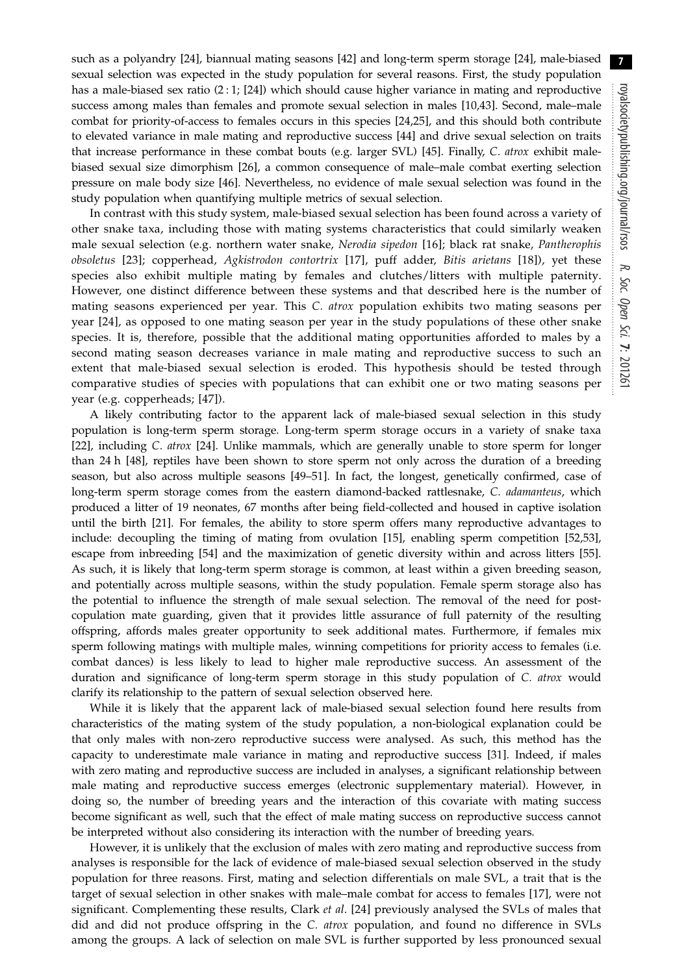such as a polyandry [[24\]](#page-9-0), biannual mating seasons [[42\]](#page-9-0) and long-term sperm storage [[24\]](#page-9-0), male-biased sexual selection was expected in the study population for several reasons. First, the study population has a male-biased sex ratio (2 : 1; [[24\]](#page-9-0)) which should cause higher variance in mating and reproductive success among males than females and promote sexual selection in males [[10,43](#page-9-0)]. Second, male–male combat for priority-of-access to females occurs in this species [\[24](#page-9-0),[25\]](#page-9-0), and this should both contribute to elevated variance in male mating and reproductive success [[44\]](#page-9-0) and drive sexual selection on traits that increase performance in these combat bouts (e.g. larger SVL) [\[45](#page-9-0)]. Finally, C. atrox exhibit malebiased sexual size dimorphism [[26\]](#page-9-0), a common consequence of male–male combat exerting selection pressure on male body size [[46\]](#page-9-0). Nevertheless, no evidence of male sexual selection was found in the study population when quantifying multiple metrics of sexual selection.

In contrast with this study system, male-biased sexual selection has been found across a variety of other snake taxa, including those with mating systems characteristics that could similarly weaken male sexual selection (e.g. northern water snake, Nerodia sipedon [[16](#page-9-0)]; black rat snake, Pantherophis obsoletus [[23](#page-9-0)]; copperhead, Agkistrodon contortrix [[17](#page-9-0)], puff adder, Bitis arietans [[18](#page-9-0)]), yet these species also exhibit multiple mating by females and clutches/litters with multiple paternity. However, one distinct difference between these systems and that described here is the number of mating seasons experienced per year. This C. atrox population exhibits two mating seasons per year [\[24\]](#page-9-0), as opposed to one mating season per year in the study populations of these other snake species. It is, therefore, possible that the additional mating opportunities afforded to males by a second mating season decreases variance in male mating and reproductive success to such an extent that male-biased sexual selection is eroded. This hypothesis should be tested through comparative studies of species with populations that can exhibit one or two mating seasons per year (e.g. copperheads; [[47](#page-9-0)]).

A likely contributing factor to the apparent lack of male-biased sexual selection in this study population is long-term sperm storage. Long-term sperm storage occurs in a variety of snake taxa [\[22](#page-9-0)], including C. atrox [\[24](#page-9-0)]. Unlike mammals, which are generally unable to store sperm for longer than 24 h [[48\]](#page-10-0), reptiles have been shown to store sperm not only across the duration of a breeding season, but also across multiple seasons [\[49](#page-10-0)–[51\]](#page-10-0). In fact, the longest, genetically confirmed, case of long-term sperm storage comes from the eastern diamond-backed rattlesnake, C. adamanteus, which produced a litter of 19 neonates, 67 months after being field-collected and housed in captive isolation until the birth [[21\]](#page-9-0). For females, the ability to store sperm offers many reproductive advantages to include: decoupling the timing of mating from ovulation [\[15](#page-9-0)], enabling sperm competition [\[52,53](#page-10-0)], escape from inbreeding [\[54](#page-10-0)] and the maximization of genetic diversity within and across litters [\[55](#page-10-0)]. As such, it is likely that long-term sperm storage is common, at least within a given breeding season, and potentially across multiple seasons, within the study population. Female sperm storage also has the potential to influence the strength of male sexual selection. The removal of the need for postcopulation mate guarding, given that it provides little assurance of full paternity of the resulting offspring, affords males greater opportunity to seek additional mates. Furthermore, if females mix sperm following matings with multiple males, winning competitions for priority access to females (i.e. combat dances) is less likely to lead to higher male reproductive success. An assessment of the duration and significance of long-term sperm storage in this study population of C. atrox would clarify its relationship to the pattern of sexual selection observed here.

While it is likely that the apparent lack of male-biased sexual selection found here results from characteristics of the mating system of the study population, a non-biological explanation could be that only males with non-zero reproductive success were analysed. As such, this method has the capacity to underestimate male variance in mating and reproductive success [[31\]](#page-9-0). Indeed, if males with zero mating and reproductive success are included in analyses, a significant relationship between male mating and reproductive success emerges (electronic supplementary material). However, in doing so, the number of breeding years and the interaction of this covariate with mating success become significant as well, such that the effect of male mating success on reproductive success cannot be interpreted without also considering its interaction with the number of breeding years.

However, it is unlikely that the exclusion of males with zero mating and reproductive success from analyses is responsible for the lack of evidence of male-biased sexual selection observed in the study population for three reasons. First, mating and selection differentials on male SVL, a trait that is the target of sexual selection in other snakes with male–male combat for access to females [\[17\]](#page-9-0), were not significant. Complementing these results, Clark et al. [\[24\]](#page-9-0) previously analysed the SVLs of males that did and did not produce offspring in the C. atrox population, and found no difference in SVLs among the groups. A lack of selection on male SVL is further supported by less pronounced sexual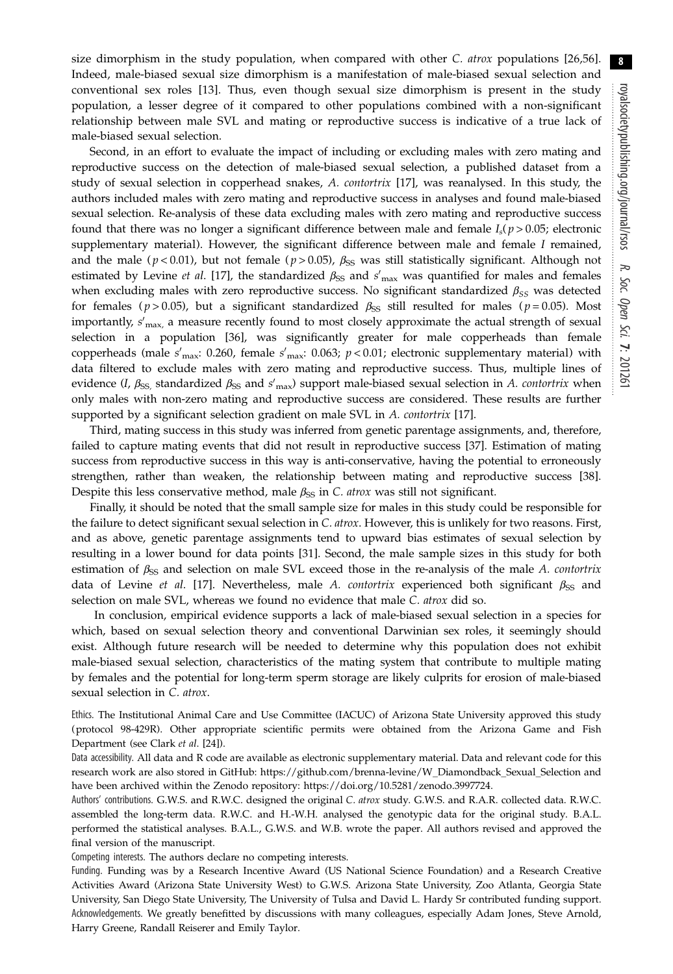size dimorphism in the study population, when compared with other C. atrox populations [[26,](#page-9-0)[56](#page-10-0)]. Indeed, male-biased sexual size dimorphism is a manifestation of male-biased sexual selection and conventional sex roles [[13](#page-9-0)]. Thus, even though sexual size dimorphism is present in the study population, a lesser degree of it compared to other populations combined with a non-significant relationship between male SVL and mating or reproductive success is indicative of a true lack of male-biased sexual selection.

Second, in an effort to evaluate the impact of including or excluding males with zero mating and reproductive success on the detection of male-biased sexual selection, a published dataset from a study of sexual selection in copperhead snakes, A. contortrix [\[17](#page-9-0)], was reanalysed. In this study, the authors included males with zero mating and reproductive success in analyses and found male-biased sexual selection. Re-analysis of these data excluding males with zero mating and reproductive success found that there was no longer a significant difference between male and female  $I_s(p > 0.05)$ ; electronic supplementary material). However, the significant difference between male and female I remained, and the male ( $p < 0.01$ ), but not female ( $p > 0.05$ ),  $\beta_{SS}$  was still statistically significant. Although not estimated by Levine *et al.* [[17\]](#page-9-0), the standardized  $\beta_{SS}$  and s'<sub>max</sub> was quantified for males and females when excluding males with zero reproductive success. No significant standardized  $\beta_{SS}$  was detected for females ( $p > 0.05$ ), but a significant standardized  $\beta_{SS}$  still resulted for males ( $p = 0.05$ ). Most importantly,  $s^\prime_{\text{max}}$ , a measure recently found to most closely approximate the actual strength of sexual selection in a population [[36\]](#page-9-0), was significantly greater for male copperheads than female copperheads (male  $s'_{\text{max}}$ : 0.260, female  $s'_{\text{max}}$ : 0.063;  $p$  < 0.01; electronic supplementary material) with data filtered to exclude males with zero mating and reproductive success. Thus, multiple lines of evidence (I,  $\beta_{SS}$ , standardized  $\beta_{SS}$  and s'<sub>max</sub>) support male-biased sexual selection in A. *contortrix* when only males with non-zero mating and reproductive success are considered. These results are further supported by a significant selection gradient on male SVL in A. contortrix [\[17](#page-9-0)].

Third, mating success in this study was inferred from genetic parentage assignments, and, therefore, failed to capture mating events that did not result in reproductive success [[37\]](#page-9-0). Estimation of mating success from reproductive success in this way is anti-conservative, having the potential to erroneously strengthen, rather than weaken, the relationship between mating and reproductive success [\[38](#page-9-0)]. Despite this less conservative method, male  $\beta_{\rm SS}$  in C. atrox was still not significant.

Finally, it should be noted that the small sample size for males in this study could be responsible for the failure to detect significant sexual selection in C. atrox. However, this is unlikely for two reasons. First, and as above, genetic parentage assignments tend to upward bias estimates of sexual selection by resulting in a lower bound for data points [[31\]](#page-9-0). Second, the male sample sizes in this study for both estimation of  $\beta_{SS}$  and selection on male SVL exceed those in the re-analysis of the male A. contortrix data of Levine et al. [[17\]](#page-9-0). Nevertheless, male A. contortrix experienced both significant  $\beta_{SS}$  and selection on male SVL, whereas we found no evidence that male C. atrox did so.

In conclusion, empirical evidence supports a lack of male-biased sexual selection in a species for which, based on sexual selection theory and conventional Darwinian sex roles, it seemingly should exist. Although future research will be needed to determine why this population does not exhibit male-biased sexual selection, characteristics of the mating system that contribute to multiple mating by females and the potential for long-term sperm storage are likely culprits for erosion of male-biased sexual selection in C. atrox.

Ethics. The Institutional Animal Care and Use Committee (IACUC) of Arizona State University approved this study (protocol 98-429R). Other appropriate scientific permits were obtained from the Arizona Game and Fish Department (see Clark et al. [[24\]](#page-9-0)).

Data accessibility. All data and R code are available as electronic supplementary material. Data and relevant code for this research work are also stored in GitHub: [https://github.com/brenna-levine/W\\_Diamondback\\_Sexual\\_Selection](https://github.com/brenna-levine/W_Diamondback_Sexual_Selection) and have been archived within the Zenodo repository: [https://doi.org/10.5281/zenodo.3997724.](https://doi.org/10.5281/zenodo.3997724)

Authors' contributions. G.W.S. and R.W.C. designed the original C. atrox study. G.W.S. and R.A.R. collected data. R.W.C. assembled the long-term data. R.W.C. and H.-W.H. analysed the genotypic data for the original study. B.A.L. performed the statistical analyses. B.A.L., G.W.S. and W.B. wrote the paper. All authors revised and approved the final version of the manuscript.

Competing interests. The authors declare no competing interests.

Funding. Funding was by a Research Incentive Award (US National Science Foundation) and a Research Creative Activities Award (Arizona State University West) to G.W.S. Arizona State University, Zoo Atlanta, Georgia State University, San Diego State University, The University of Tulsa and David L. Hardy Sr contributed funding support. Acknowledgements. We greatly benefitted by discussions with many colleagues, especially Adam Jones, Steve Arnold, Harry Greene, Randall Reiserer and Emily Taylor.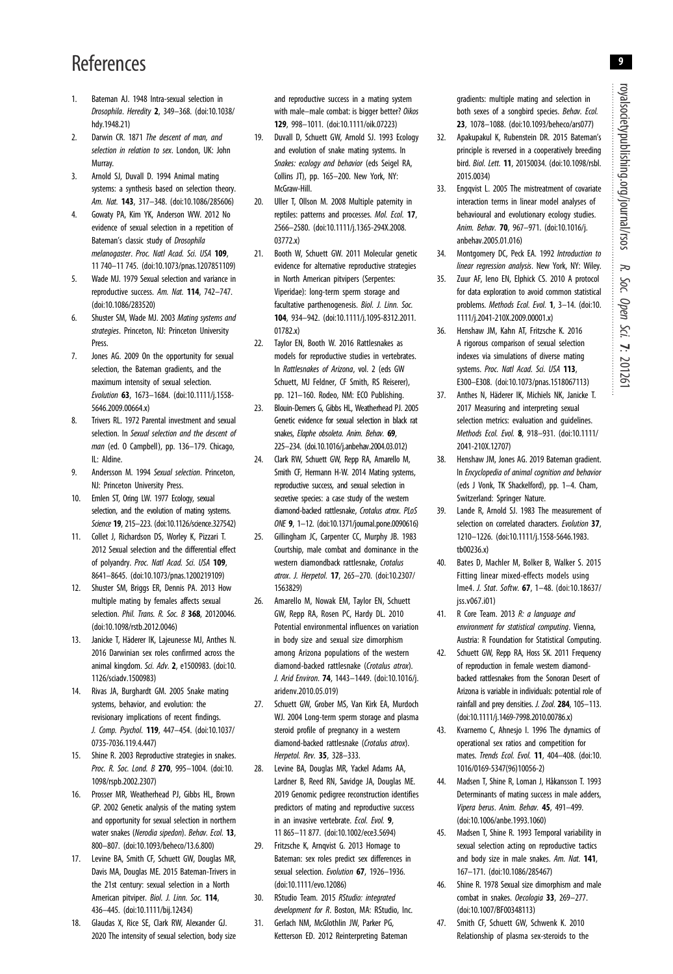# <span id="page-9-0"></span>References

- 1. Bateman AJ. 1948 Intra-sexual selection in Drosophila. Heredity 2, 349–368. [\(doi:10.1038/](http://dx.doi.org/10.1038/hdy.1948.21) [hdy.1948.21](http://dx.doi.org/10.1038/hdy.1948.21))
- 2. Darwin CR, 1871 The descent of man, and selection in relation to sex. London, UK: John Murray.
- 3. Arnold SJ, Duvall D. 1994 Animal mating systems: a synthesis based on selection theory. Am. Nat. 143, 317-348. ([doi:10.1086/285606\)](http://dx.doi.org/10.1086/285606)
- 4. Gowaty PA, Kim YK, Anderson WW. 2012 No evidence of sexual selection in a repetition of Bateman's classic study of Drosophila melanogaster. Proc. Natl Acad. Sci. USA 109, 11 740–11 745. ([doi:10.1073/pnas.1207851109\)](http://dx.doi.org/10.1073/pnas.1207851109)
- 5. Wade MJ. 1979 Sexual selection and variance in reproductive success. Am. Nat. 114, 742–747. ([doi:10.1086/283520\)](http://dx.doi.org/10.1086/283520)
- Shuster SM, Wade MJ. 2003 Mating systems and strategies. Princeton, NJ: Princeton University Press.
- 7. Jones AG. 2009 On the opportunity for sexual selection, the Bateman gradients, and the maximum intensity of sexual selection. Evolution 63, 1673–1684. [\(doi:10.1111/j.1558-](http://dx.doi.org/10.1111/j.1558-5646.2009.00664.x) [5646.2009.00664.x](http://dx.doi.org/10.1111/j.1558-5646.2009.00664.x))
- 8. Trivers RL. 1972 Parental investment and sexual selection. In Sexual selection and the descent of man (ed. O Campbell), pp. 136–179. Chicago, IL: Aldine.
- 9. Andersson M. 1994 Sexual selection. Princeton. NJ: Princeton University Press.
- 10. Emlen ST, Oring LW. 1977 Ecology, sexual selection, and the evolution of mating systems. Science 19, 215–223. [\(doi:10.1126/science.327542](http://dx.doi.org/10.1126/science.327542))
- 11. Collet J, Richardson DS, Worley K, Pizzari T. 2012 Sexual selection and the differential effect of polyandry. Proc. Natl Acad. Sci. USA 109, 8641–8645. [\(doi:10.1073/pnas.1200219109](http://dx.doi.org/10.1073/pnas.1200219109))
- 12. Shuster SM, Briggs ER, Dennis PA. 2013 How multiple mating by females affects sexual selection. Phil. Trans. R. Soc. B 368, 20120046. ([doi:10.1098/rstb.2012.0046\)](http://dx.doi.org/10.1098/rstb.2012.0046)
- 13. Janicke T, Häderer IK, Lajeunesse MJ, Anthes N. 2016 Darwinian sex roles confirmed across the animal kingdom. Sci. Adv. 2, e1500983. [\(doi:10.](http://dx.doi.org/10.1126/sciadv.1500983) [1126/sciadv.1500983](http://dx.doi.org/10.1126/sciadv.1500983))
- 14. Rivas JA, Burghardt GM. 2005 Snake mating systems, behavior, and evolution: the revisionary implications of recent findings. J. Comp. Psychol. 119, 447–454. [\(doi:10.1037/](http://dx.doi.org/10.1037/0735-7036.119.4.447) [0735-7036.119.4.447\)](http://dx.doi.org/10.1037/0735-7036.119.4.447)
- 15. Shine R. 2003 Reproductive strategies in snakes. Proc. R. Soc. Lond. B 270, 995-1004. [\(doi:10.](http://dx.doi.org/10.1098/rspb.2002.2307) [1098/rspb.2002.2307\)](http://dx.doi.org/10.1098/rspb.2002.2307)
- 16. Prosser MR, Weatherhead PJ, Gibbs HL, Brown GP. 2002 Genetic analysis of the mating system and opportunity for sexual selection in northern water snakes (Nerodia sipedon). Behav. Ecol. 13, 800–807. ([doi:10.1093/beheco/13.6.800](http://dx.doi.org/10.1093/beheco/13.6.800))
- 17. Levine BA, Smith CF, Schuett GW, Douglas MR, Davis MA, Douglas ME. 2015 Bateman-Trivers in the 21st century: sexual selection in a North American pitviper. Biol. J. Linn. Soc. 114, 436–445. ([doi:10.1111/bij.12434\)](http://dx.doi.org/10.1111/bij.12434)
- 18. Glaudas X, Rice SE, Clark RW, Alexander GJ. 2020 The intensity of sexual selection, body size

and reproductive success in a mating system with male–male combat: is bigger better? Oikos 129, 998–1011. [\(doi:10.1111/oik.07223](http://dx.doi.org/10.1111/oik.07223))

- 19. Duvall D, Schuett GW, Arnold SJ. 1993 Ecology and evolution of snake mating systems. In Snakes: ecology and behavior (eds Seigel RA, Collins JT), pp. 165–200. New York, NY: McGraw-Hill.
- 20. Uller T, Ollson M. 2008 Multiple paternity in reptiles: patterns and processes. Mol. Ecol. 17, 2566–2580. ([doi:10.1111/j.1365-294X.2008.](http://dx.doi.org/10.1111/j.1365-294X.2008.03772.x) [03772.x\)](http://dx.doi.org/10.1111/j.1365-294X.2008.03772.x)
- 21. Booth W, Schuett GW. 2011 Molecular genetic evidence for alternative reproductive strategies in North American pitvipers (Serpentes: Viperidae): long-term sperm storage and facultative parthenogenesis. Biol. J. Linn. Soc. 104, 934–942. ([doi:10.1111/j.1095-8312.2011.](http://dx.doi.org/10.1111/j.1095-8312.2011.01782.x) [01782.x\)](http://dx.doi.org/10.1111/j.1095-8312.2011.01782.x)
- 22. Taylor EN, Booth W. 2016 Rattlesnakes as models for reproductive studies in vertebrates. In Rattlesnakes of Arizona, vol. 2 (eds GW Schuett, MJ Feldner, CF Smith, RS Reiserer), pp. 121–160. Rodeo, NM: ECO Publishing.
- 23. Blouin-Demers G, Gibbs HL, Weatherhead PJ. 2005 Genetic evidence for sexual selection in black rat snakes, Elaphe obsoleta. Anim. Behav. 69, 225–234. [\(doi.10.1016/j.anbehav.2004.03.012](http://dx.doi.org/doi.10.1016/j.anbehav.2004.03.012))
- 24. Clark RW, Schuett GW, Repp RA, Amarello M, Smith CF, Hermann H-W. 2014 Mating systems, reproductive success, and sexual selection in secretive species: a case study of the western diamond-backed rattlesnake, Crotalus atrox. PLoS ONE 9, 1–12. ([doi:10.1371/journal.pone.0090616\)](http://dx.doi.org/10.1371/journal.pone.0090616)
- 25. Gillingham JC, Carpenter CC, Murphy JB. 1983 Courtship, male combat and dominance in the western diamondback rattlesnake, Crotalus atrox. J. Herpetol. 17, 265–270. [\(doi:10.2307/](http://dx.doi.org/10.2307/1563829) [1563829](http://dx.doi.org/10.2307/1563829))
- 26. Amarello M, Nowak EM, Taylor EN, Schuett GW, Repp RA, Rosen PC, Hardy DL. 2010 Potential environmental influences on variation in body size and sexual size dimorphism among Arizona populations of the western diamond-backed rattlesnake (Crotalus atrox). J. Arid Environ. 74, 1443–1449. [\(doi:10.1016/j.](http://dx.doi.org/10.1016/j.aridenv.2010.05.019) [aridenv.2010.05.019\)](http://dx.doi.org/10.1016/j.aridenv.2010.05.019)
- 27. Schuett GW, Grober MS, Van Kirk EA, Murdoch WJ. 2004 Long-term sperm storage and plasma steroid profile of pregnancy in a western diamond-backed rattlesnake (Crotalus atrox). Herpetol. Rev. 35, 328–333.
- 28. Levine BA, Douglas MR, Yackel Adams AA, Lardner B, Reed RN, Savidge JA, Douglas ME. 2019 Genomic pedigree reconstruction identifies predictors of mating and reproductive success in an invasive vertebrate. Ecol. Evol. 9, 11 865–11 877. [\(doi:10.1002/ece3.5694](http://dx.doi.org/10.1002/ece3.5694))
- 29. Fritzsche K, Arnqvist G. 2013 Homage to Bateman: sex roles predict sex differences in sexual selection. Evolution 67, 1926-1936. ([doi:10.1111/evo.12086\)](http://dx.doi.org/10.1111/evo.12086)
- 30. RStudio Team. 2015 RStudio: integrated development for R. Boston, MA: RStudio, Inc.
- 31. Gerlach NM, McGlothlin JW, Parker PG, Ketterson ED. 2012 Reinterpreting Bateman

gradients: multiple mating and selection in both sexes of a songbird species. Behav. Ecol. 23, 1078–1088. ([doi:10.1093/beheco/ars077\)](http://dx.doi.org/10.1093/beheco/ars077)

- 32. Apakupakul K, Rubenstein DR. 2015 Bateman's principle is reversed in a cooperatively breeding bird. Biol. Lett. 11, 20150034. ([doi:10.1098/rsbl.](http://dx.doi.org/10.1098/rsbl.2015.0034) [2015.0034](http://dx.doi.org/10.1098/rsbl.2015.0034))
- 33. Engqvist L. 2005 The mistreatment of covariate interaction terms in linear model analyses of behavioural and evolutionary ecology studies. Anim. Behav. 70, 967–971. [\(doi:10.1016/j.](http://dx.doi.org/10.1016/j.anbehav.2005.01.016) [anbehav.2005.01.016](http://dx.doi.org/10.1016/j.anbehav.2005.01.016))
- 34. Montgomery DC, Peck EA. 1992 Introduction to linear regression analysis. New York, NY: Wiley.
- 35. Zuur AF, Ieno EN, Elphick CS. 2010 A protocol for data exploration to avoid common statistical problems. Methods Ecol. Evol. 1, 3-14. ([doi:10.](http://dx.doi.org/10.1111/j.2041-210X.2009.00001.x) [1111/j.2041-210X.2009.00001.x](http://dx.doi.org/10.1111/j.2041-210X.2009.00001.x))
- 36. Henshaw JM, Kahn AT, Fritzsche K. 2016 A rigorous comparison of sexual selection indexes via simulations of diverse mating systems. Proc. Natl Acad. Sci. USA 113, E300–E308. [\(doi:10.1073/pnas.1518067113](http://dx.doi.org/10.1073/pnas.1518067113))
- 37. Anthes N, Häderer IK, Michiels NK, Janicke T. 2017 Measuring and interpreting sexual selection metrics: evaluation and guidelines. Methods Ecol. Evol. 8, 918–931. [\(doi:10.1111/](http://dx.doi.org/10.1111/2041-210X.12707) [2041-210X.12707\)](http://dx.doi.org/10.1111/2041-210X.12707)
- 38. Henshaw JM, Jones AG. 2019 Bateman gradient. In Encyclopedia of animal cognition and behavior (eds J Vonk, TK Shackelford), pp. 1–4. Cham, Switzerland: Springer Nature.
- 39. Lande R, Arnold SJ. 1983 The measurement of selection on correlated characters. Evolution 37, 1210–1226. ([doi:10.1111/j.1558-5646.1983.](http://dx.doi.org/10.1111/j.1558-5646.1983.tb00236.x) [tb00236.x](http://dx.doi.org/10.1111/j.1558-5646.1983.tb00236.x))
- 40. Bates D, Machler M, Bolker B, Walker S. 2015 Fitting linear mixed-effects models using lme4. J. Stat. Softw. 67, 1–48. [\(doi:10.18637/](http://dx.doi.org/10.18637/jss.v067.i01) [jss.v067.i01\)](http://dx.doi.org/10.18637/jss.v067.i01)
- 41. R Core Team. 2013 R: a language and environment for statistical computing. Vienna, Austria: R Foundation for Statistical Computing.
- 42. Schuett GW, Repp RA, Hoss SK. 2011 Frequency of reproduction in female western diamondbacked rattlesnakes from the Sonoran Desert of Arizona is variable in individuals: potential role of rainfall and prey densities. J. Zool. 284, 105-113. [\(doi:10.1111/j.1469-7998.2010.00786.x](http://dx.doi.org/10.1111/j.1469-7998.2010.00786.x))
- 43. Kvarnemo C, Ahnesjo I. 1996 The dynamics of operational sex ratios and competition for mates. Trends Ecol. Evol. 11, 404–408. ([doi:10.](http://dx.doi.org/10.1016/0169-5347(96)10056-2) [1016/0169-5347\(96\)10056-2\)](http://dx.doi.org/10.1016/0169-5347(96)10056-2)
- 44. Madsen T, Shine R, Loman J, Håkansson T. 1993 Determinants of mating success in male adders, Vipera berus. Anim. Behav. 45, 491–499. [\(doi:10.1006/anbe.1993.1060\)](http://dx.doi.org/10.1006/anbe.1993.1060)
- 45. Madsen T, Shine R. 1993 Temporal variability in sexual selection acting on reproductive tactics and body size in male snakes. Am. Nat. 141, 167–171. ([doi:10.1086/285467\)](http://dx.doi.org/10.1086/285467)
- 46. Shine R. 1978 Sexual size dimorphism and male combat in snakes. Oecologia 33, 269-277. [\(doi:10.1007/BF00348113](http://dx.doi.org/10.1007/BF00348113))
- 47. Smith CF, Schuett GW, Schwenk K. 2010 Relationship of plasma sex-steroids to the